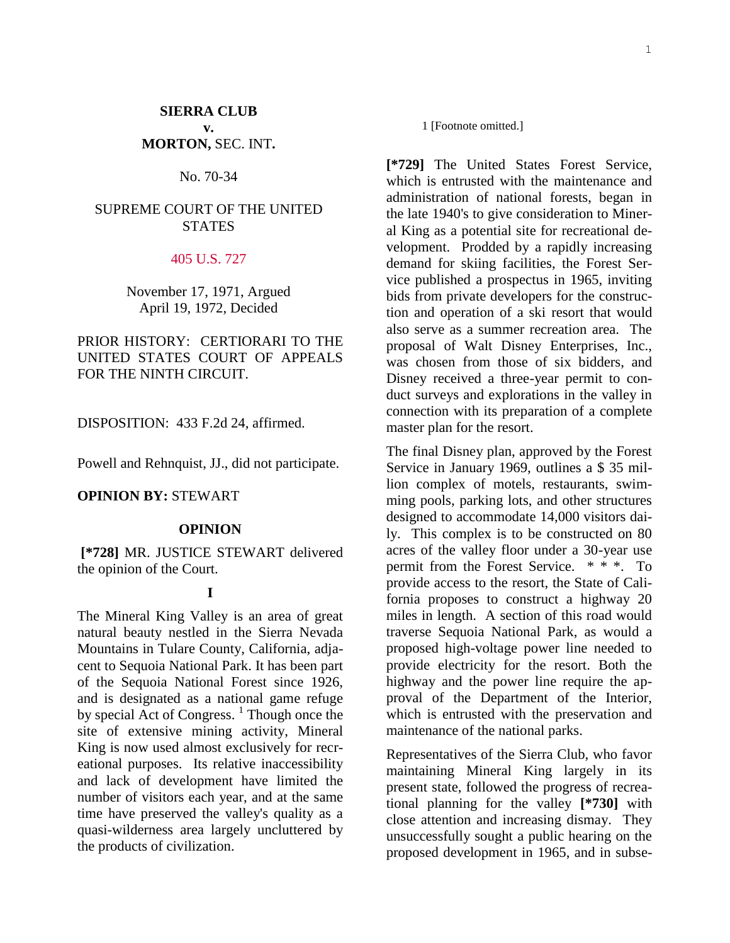### No. 70-34

## SUPREME COURT OF THE UNITED **STATES**

### 405 U.S. 727

November 17, 1971, Argued April 19, 1972, Decided

# PRIOR HISTORY: CERTIORARI TO THE UNITED STATES COURT OF APPEALS FOR THE NINTH CIRCUIT.

DISPOSITION: 433 F.2d 24, affirmed.

Powell and Rehnquist, JJ., did not participate.

#### **OPINION BY:** STEWART

#### **OPINION**

**[\*728]** MR. JUSTICE STEWART delivered the opinion of the Court.

## **I**

The Mineral King Valley is an area of great natural beauty nestled in the Sierra Nevada Mountains in Tulare County, California, adjacent to Sequoia National Park. It has been part of the Sequoia National Forest since 1926, and is designated as a national game refuge by special Act of Congress.<sup>1</sup> Though once the site of extensive mining activity, Mineral King is now used almost exclusively for recreational purposes. Its relative inaccessibility and lack of development have limited the number of visitors each year, and at the same time have preserved the valley's quality as a quasi-wilderness area largely uncluttered by the products of civilization.

1 [Footnote omitted.]

**[\*729]** The United States Forest Service, which is entrusted with the maintenance and administration of national forests, began in the late 1940's to give consideration to Mineral King as a potential site for recreational development. Prodded by a rapidly increasing demand for skiing facilities, the Forest Service published a prospectus in 1965, inviting bids from private developers for the construction and operation of a ski resort that would also serve as a summer recreation area. The proposal of Walt Disney Enterprises, Inc., was chosen from those of six bidders, and Disney received a three-year permit to conduct surveys and explorations in the valley in connection with its preparation of a complete master plan for the resort.

The final Disney plan, approved by the Forest Service in January 1969, outlines a \$ 35 million complex of motels, restaurants, swimming pools, parking lots, and other structures designed to accommodate 14,000 visitors daily. This complex is to be constructed on 80 acres of the valley floor under a 30-year use permit from the Forest Service. \* \* \*. To provide access to the resort, the State of California proposes to construct a highway 20 miles in length. A section of this road would traverse Sequoia National Park, as would a proposed high-voltage power line needed to provide electricity for the resort. Both the highway and the power line require the approval of the Department of the Interior, which is entrusted with the preservation and maintenance of the national parks.

Representatives of the Sierra Club, who favor maintaining Mineral King largely in its present state, followed the progress of recreational planning for the valley **[\*730]** with close attention and increasing dismay. They unsuccessfully sought a public hearing on the proposed development in 1965, and in subse-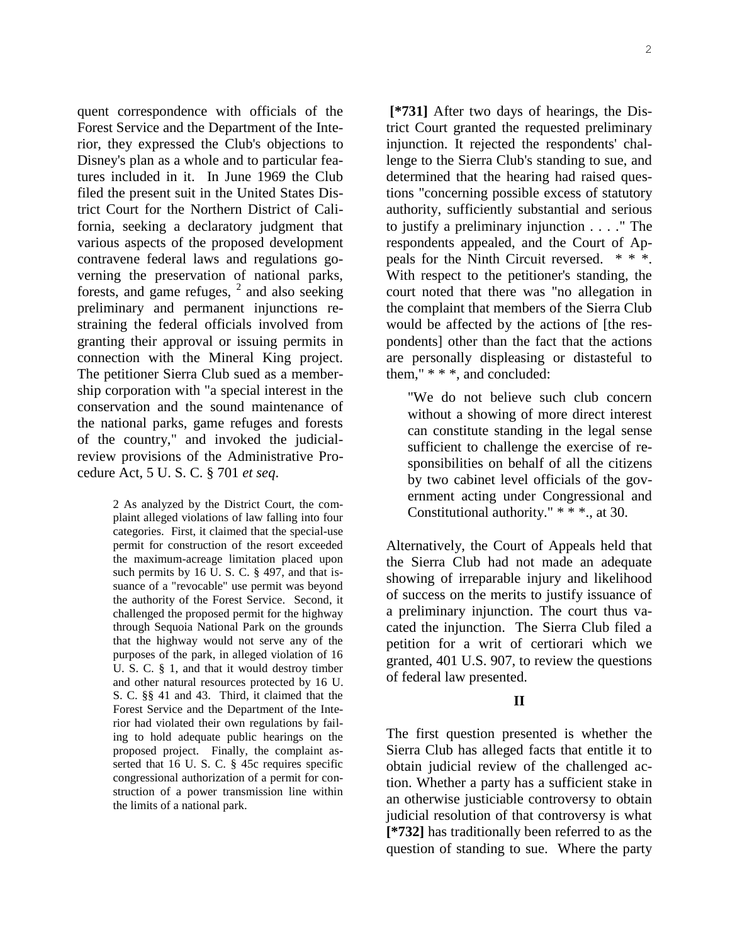2

quent correspondence with officials of the Forest Service and the Department of the Interior, they expressed the Club's objections to Disney's plan as a whole and to particular features included in it. In June 1969 the Club filed the present suit in the United States District Court for the Northern District of California, seeking a declaratory judgment that various aspects of the proposed development contravene federal laws and regulations governing the preservation of national parks, forests, and game refuges,  $2$  and also seeking preliminary and permanent injunctions restraining the federal officials involved from granting their approval or issuing permits in connection with the Mineral King project. The petitioner Sierra Club sued as a membership corporation with "a special interest in the conservation and the sound maintenance of the national parks, game refuges and forests of the country," and invoked the judicialreview provisions of the Administrative Procedure Act, 5 U. S. C. § 701 *et seq*.

> 2 As analyzed by the District Court, the complaint alleged violations of law falling into four categories. First, it claimed that the special-use permit for construction of the resort exceeded the maximum-acreage limitation placed upon such permits by 16 U. S. C. § 497, and that issuance of a "revocable" use permit was beyond the authority of the Forest Service. Second, it challenged the proposed permit for the highway through Sequoia National Park on the grounds that the highway would not serve any of the purposes of the park, in alleged violation of 16 U. S. C. § 1, and that it would destroy timber and other natural resources protected by 16 U. S. C. §§ 41 and 43. Third, it claimed that the Forest Service and the Department of the Interior had violated their own regulations by failing to hold adequate public hearings on the proposed project. Finally, the complaint asserted that 16 U. S. C. § 45c requires specific congressional authorization of a permit for construction of a power transmission line within the limits of a national park.

**[\*731]** After two days of hearings, the District Court granted the requested preliminary injunction. It rejected the respondents' challenge to the Sierra Club's standing to sue, and determined that the hearing had raised questions "concerning possible excess of statutory authority, sufficiently substantial and serious to justify a preliminary injunction . . . ." The respondents appealed, and the Court of Appeals for the Ninth Circuit reversed. \* \* \*. With respect to the petitioner's standing, the court noted that there was "no allegation in the complaint that members of the Sierra Club would be affected by the actions of [the respondents] other than the fact that the actions are personally displeasing or distasteful to them," \* \* \*, and concluded:

"We do not believe such club concern without a showing of more direct interest can constitute standing in the legal sense sufficient to challenge the exercise of responsibilities on behalf of all the citizens by two cabinet level officials of the government acting under Congressional and Constitutional authority." \* \* \*., at 30.

Alternatively, the Court of Appeals held that the Sierra Club had not made an adequate showing of irreparable injury and likelihood of success on the merits to justify issuance of a preliminary injunction. The court thus vacated the injunction. The Sierra Club filed a petition for a writ of certiorari which we granted, 401 U.S. 907, to review the questions of federal law presented.

## **II**

The first question presented is whether the Sierra Club has alleged facts that entitle it to obtain judicial review of the challenged action. Whether a party has a sufficient stake in an otherwise justiciable controversy to obtain judicial resolution of that controversy is what **[\*732]** has traditionally been referred to as the question of standing to sue. Where the party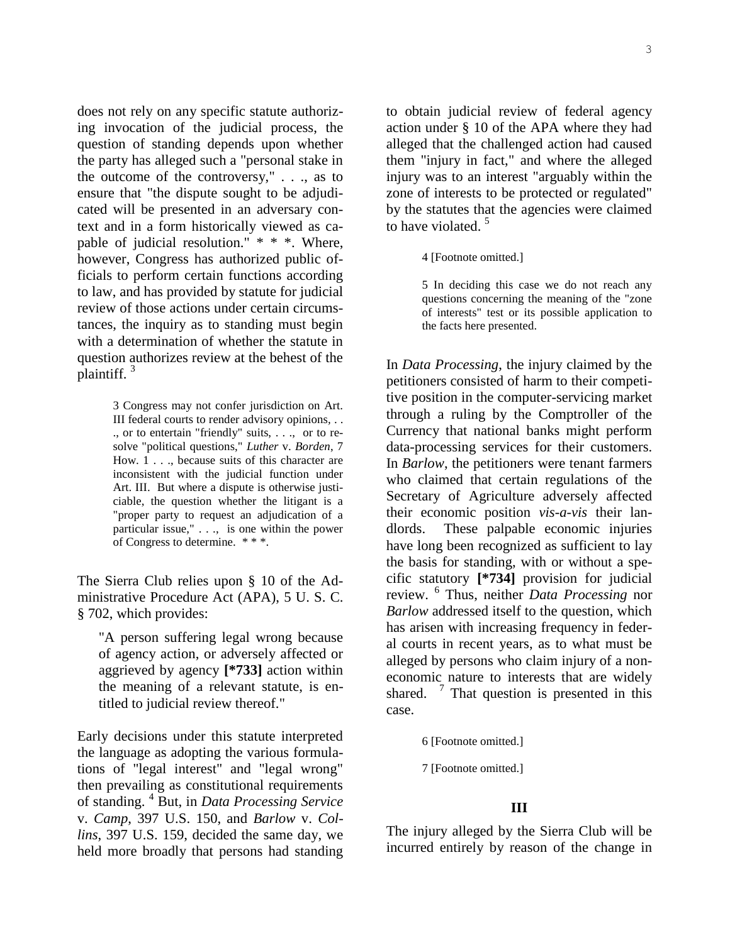does not rely on any specific statute authorizing invocation of the judicial process, the question of standing depends upon whether the party has alleged such a "personal stake in the outcome of the controversy," . . ., as to ensure that "the dispute sought to be adjudicated will be presented in an adversary context and in a form historically viewed as capable of judicial resolution." \* \* \*. Where, however, Congress has authorized public officials to perform certain functions according to law, and has provided by statute for judicial review of those actions under certain circumstances, the inquiry as to standing must begin with a determination of whether the statute in question authorizes review at the behest of the plaintiff. <sup>3</sup>

> 3 Congress may not confer jurisdiction on Art. III federal courts to render advisory opinions*,* . . ., or to entertain "friendly" suits, . . ., or to resolve "political questions," *Luther* v. *Borden*, 7 How. 1 . . ., because suits of this character are inconsistent with the judicial function under Art. III. But where a dispute is otherwise justiciable, the question whether the litigant is a "proper party to request an adjudication of a particular issue," . . ., is one within the power of Congress to determine. \* \* \*.

The Sierra Club relies upon § 10 of the Administrative Procedure Act (APA), 5 U. S. C. § 702, which provides:

"A person suffering legal wrong because of agency action, or adversely affected or aggrieved by agency **[\*733]** action within the meaning of a relevant statute, is entitled to judicial review thereof."

Early decisions under this statute interpreted the language as adopting the various formulations of "legal interest" and "legal wrong" then prevailing as constitutional requirements of standing. <sup>4</sup> But, in *Data Processing Service* v. *Camp*, 397 U.S. 150, and *Barlow* v. *Collins*, 397 U.S. 159, decided the same day, we held more broadly that persons had standing

to obtain judicial review of federal agency action under § 10 of the APA where they had alleged that the challenged action had caused them "injury in fact," and where the alleged injury was to an interest "arguably within the zone of interests to be protected or regulated" by the statutes that the agencies were claimed to have violated.<sup>5</sup>

4 [Footnote omitted.]

5 In deciding this case we do not reach any questions concerning the meaning of the "zone of interests" test or its possible application to the facts here presented.

In *Data Processing*, the injury claimed by the petitioners consisted of harm to their competitive position in the computer-servicing market through a ruling by the Comptroller of the Currency that national banks might perform data-processing services for their customers. In *Barlow*, the petitioners were tenant farmers who claimed that certain regulations of the Secretary of Agriculture adversely affected their economic position *vis-a-vis* their landlords. These palpable economic injuries have long been recognized as sufficient to lay the basis for standing, with or without a specific statutory **[\*734]** provision for judicial review. <sup>6</sup> Thus, neither *Data Processing* nor *Barlow* addressed itself to the question, which has arisen with increasing frequency in federal courts in recent years, as to what must be alleged by persons who claim injury of a noneconomic nature to interests that are widely shared.  $7$  That question is presented in this case.

6 [Footnote omitted.]

7 [Footnote omitted.]

#### **III**

The injury alleged by the Sierra Club will be incurred entirely by reason of the change in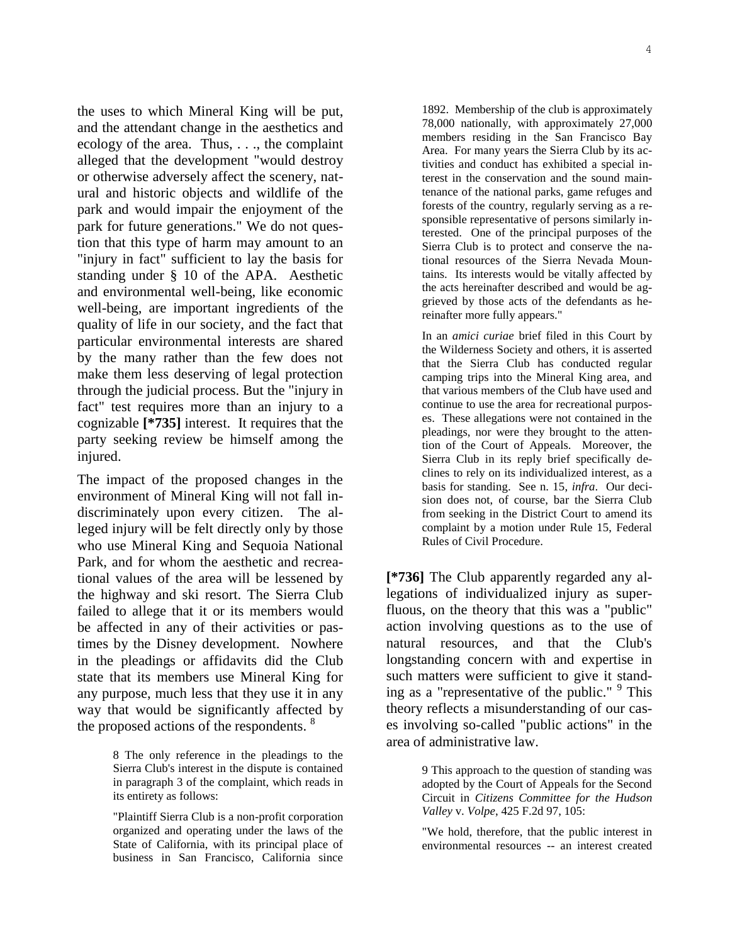the uses to which Mineral King will be put, and the attendant change in the aesthetics and ecology of the area. Thus, . . ., the complaint alleged that the development "would destroy or otherwise adversely affect the scenery, natural and historic objects and wildlife of the park and would impair the enjoyment of the park for future generations." We do not question that this type of harm may amount to an "injury in fact" sufficient to lay the basis for standing under § 10 of the APA. Aesthetic and environmental well-being, like economic well-being, are important ingredients of the quality of life in our society, and the fact that particular environmental interests are shared by the many rather than the few does not make them less deserving of legal protection through the judicial process. But the "injury in fact" test requires more than an injury to a cognizable **[\*735]** interest. It requires that the party seeking review be himself among the injured.

The impact of the proposed changes in the environment of Mineral King will not fall indiscriminately upon every citizen. The alleged injury will be felt directly only by those who use Mineral King and Sequoia National Park, and for whom the aesthetic and recreational values of the area will be lessened by the highway and ski resort. The Sierra Club failed to allege that it or its members would be affected in any of their activities or pastimes by the Disney development. Nowhere in the pleadings or affidavits did the Club state that its members use Mineral King for any purpose, much less that they use it in any way that would be significantly affected by the proposed actions of the respondents.<sup>8</sup>

> 8 The only reference in the pleadings to the Sierra Club's interest in the dispute is contained in paragraph 3 of the complaint, which reads in its entirety as follows:

> "Plaintiff Sierra Club is a non-profit corporation organized and operating under the laws of the State of California, with its principal place of business in San Francisco, California since

1892. Membership of the club is approximately 78,000 nationally, with approximately 27,000 members residing in the San Francisco Bay Area. For many years the Sierra Club by its activities and conduct has exhibited a special interest in the conservation and the sound maintenance of the national parks, game refuges and forests of the country, regularly serving as a responsible representative of persons similarly interested. One of the principal purposes of the Sierra Club is to protect and conserve the national resources of the Sierra Nevada Mountains. Its interests would be vitally affected by the acts hereinafter described and would be aggrieved by those acts of the defendants as hereinafter more fully appears."

In an *amici curiae* brief filed in this Court by the Wilderness Society and others, it is asserted that the Sierra Club has conducted regular camping trips into the Mineral King area, and that various members of the Club have used and continue to use the area for recreational purposes. These allegations were not contained in the pleadings, nor were they brought to the attention of the Court of Appeals. Moreover, the Sierra Club in its reply brief specifically declines to rely on its individualized interest, as a basis for standing. See n. 15, *infra*. Our decision does not, of course, bar the Sierra Club from seeking in the District Court to amend its complaint by a motion under Rule 15, Federal Rules of Civil Procedure.

**[\*736]** The Club apparently regarded any allegations of individualized injury as superfluous, on the theory that this was a "public" action involving questions as to the use of natural resources, and that the Club's longstanding concern with and expertise in such matters were sufficient to give it standing as a "representative of the public." <sup>9</sup> This theory reflects a misunderstanding of our cases involving so-called "public actions" in the area of administrative law.

> 9 This approach to the question of standing was adopted by the Court of Appeals for the Second Circuit in *Citizens Committee for the Hudson Valley* v. *Volpe*, 425 F.2d 97, 105:

> "We hold, therefore, that the public interest in environmental resources -- an interest created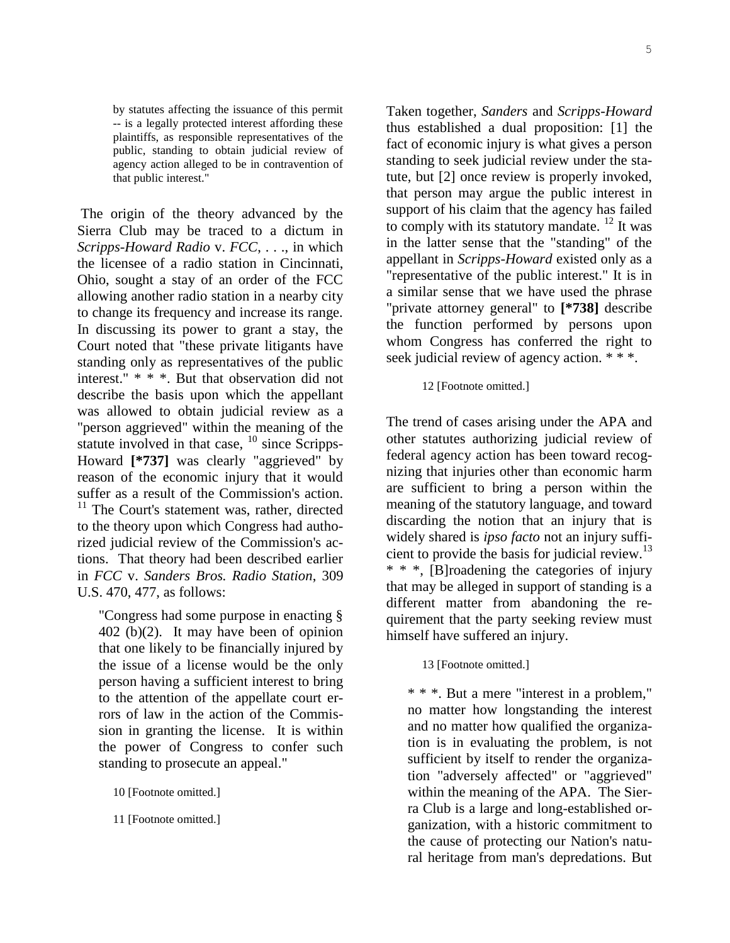by statutes affecting the issuance of this permit -- is a legally protected interest affording these plaintiffs, as responsible representatives of the public, standing to obtain judicial review of agency action alleged to be in contravention of that public interest."

The origin of the theory advanced by the Sierra Club may be traced to a dictum in *Scripps-Howard Radio* v. *FCC*, . . ., in which the licensee of a radio station in Cincinnati, Ohio, sought a stay of an order of the FCC allowing another radio station in a nearby city to change its frequency and increase its range. In discussing its power to grant a stay, the Court noted that "these private litigants have standing only as representatives of the public interest." \* \* \*. But that observation did not describe the basis upon which the appellant was allowed to obtain judicial review as a "person aggrieved" within the meaning of the statute involved in that case,  $^{10}$  since Scripps-Howard **[\*737]** was clearly "aggrieved" by reason of the economic injury that it would suffer as a result of the Commission's action. <sup>11</sup> The Court's statement was, rather, directed to the theory upon which Congress had authorized judicial review of the Commission's actions. That theory had been described earlier in *FCC* v. *Sanders Bros. Radio Station*, 309 U.S. 470, 477, as follows:

"Congress had some purpose in enacting § 402 (b)(2). It may have been of opinion that one likely to be financially injured by the issue of a license would be the only person having a sufficient interest to bring to the attention of the appellate court errors of law in the action of the Commission in granting the license. It is within the power of Congress to confer such standing to prosecute an appeal."

- 10 [Footnote omitted.]
- 11 [Footnote omitted.]

Taken together, *Sanders* and *Scripps-Howard* thus established a dual proposition: [1] the fact of economic injury is what gives a person standing to seek judicial review under the statute, but [2] once review is properly invoked, that person may argue the public interest in support of his claim that the agency has failed to comply with its statutory mandate.  $^{12}$  It was in the latter sense that the "standing" of the appellant in *Scripps-Howard* existed only as a "representative of the public interest." It is in a similar sense that we have used the phrase "private attorney general" to **[\*738]** describe the function performed by persons upon whom Congress has conferred the right to seek judicial review of agency action. \* \* \*.

#### 12 [Footnote omitted.]

The trend of cases arising under the APA and other statutes authorizing judicial review of federal agency action has been toward recognizing that injuries other than economic harm are sufficient to bring a person within the meaning of the statutory language, and toward discarding the notion that an injury that is widely shared is *ipso facto* not an injury sufficient to provide the basis for judicial review. $^{13}$ \* \* \*, [B]roadening the categories of injury that may be alleged in support of standing is a different matter from abandoning the requirement that the party seeking review must himself have suffered an injury.

13 [Footnote omitted.]

\* \* \*. But a mere "interest in a problem," no matter how longstanding the interest and no matter how qualified the organization is in evaluating the problem, is not sufficient by itself to render the organization "adversely affected" or "aggrieved" within the meaning of the APA. The Sierra Club is a large and long-established organization, with a historic commitment to the cause of protecting our Nation's natural heritage from man's depredations. But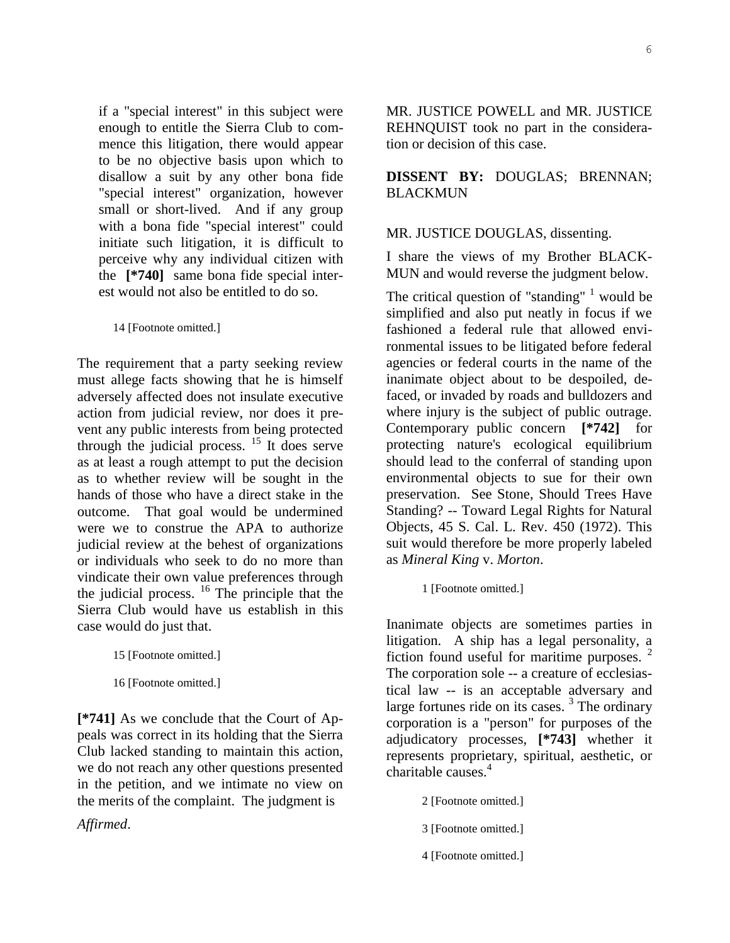if a "special interest" in this subject were enough to entitle the Sierra Club to commence this litigation, there would appear to be no objective basis upon which to disallow a suit by any other bona fide "special interest" organization, however small or short-lived. And if any group with a bona fide "special interest" could initiate such litigation, it is difficult to perceive why any individual citizen with the **[\*740]** same bona fide special interest would not also be entitled to do so.

## 14 [Footnote omitted.]

The requirement that a party seeking review must allege facts showing that he is himself adversely affected does not insulate executive action from judicial review, nor does it prevent any public interests from being protected through the judicial process.  $15$  It does serve as at least a rough attempt to put the decision as to whether review will be sought in the hands of those who have a direct stake in the outcome. That goal would be undermined were we to construe the APA to authorize judicial review at the behest of organizations or individuals who seek to do no more than vindicate their own value preferences through the judicial process.  $16$  The principle that the Sierra Club would have us establish in this case would do just that.

- 15 [Footnote omitted.]
- 16 [Footnote omitted.]

**[\*741]** As we conclude that the Court of Appeals was correct in its holding that the Sierra Club lacked standing to maintain this action, we do not reach any other questions presented in the petition, and we intimate no view on the merits of the complaint. The judgment is

*Affirmed*.

MR. JUSTICE POWELL and MR. JUSTICE REHNQUIST took no part in the consideration or decision of this case.

# **DISSENT BY:** DOUGLAS; BRENNAN; BLACKMUN

## MR. JUSTICE DOUGLAS, dissenting.

I share the views of my Brother BLACK-MUN and would reverse the judgment below.

The critical question of "standing"  $<sup>1</sup>$  would be</sup> simplified and also put neatly in focus if we fashioned a federal rule that allowed environmental issues to be litigated before federal agencies or federal courts in the name of the inanimate object about to be despoiled, defaced, or invaded by roads and bulldozers and where injury is the subject of public outrage. Contemporary public concern **[\*742]** for protecting nature's ecological equilibrium should lead to the conferral of standing upon environmental objects to sue for their own preservation. See Stone, Should Trees Have Standing? -- Toward Legal Rights for Natural Objects, 45 S. Cal. L. Rev. 450 (1972). This suit would therefore be more properly labeled as *Mineral King* v. *Morton*.

1 [Footnote omitted.]

Inanimate objects are sometimes parties in litigation. A ship has a legal personality, a fiction found useful for maritime purposes.  $2^2$ The corporation sole -- a creature of ecclesiastical law -- is an acceptable adversary and large fortunes ride on its cases.<sup>3</sup> The ordinary corporation is a "person" for purposes of the adjudicatory processes, **[\*743]** whether it represents proprietary, spiritual, aesthetic, or charitable causes.<sup>4</sup>

- 2 [Footnote omitted.]
- 3 [Footnote omitted.]
- 4 [Footnote omitted.]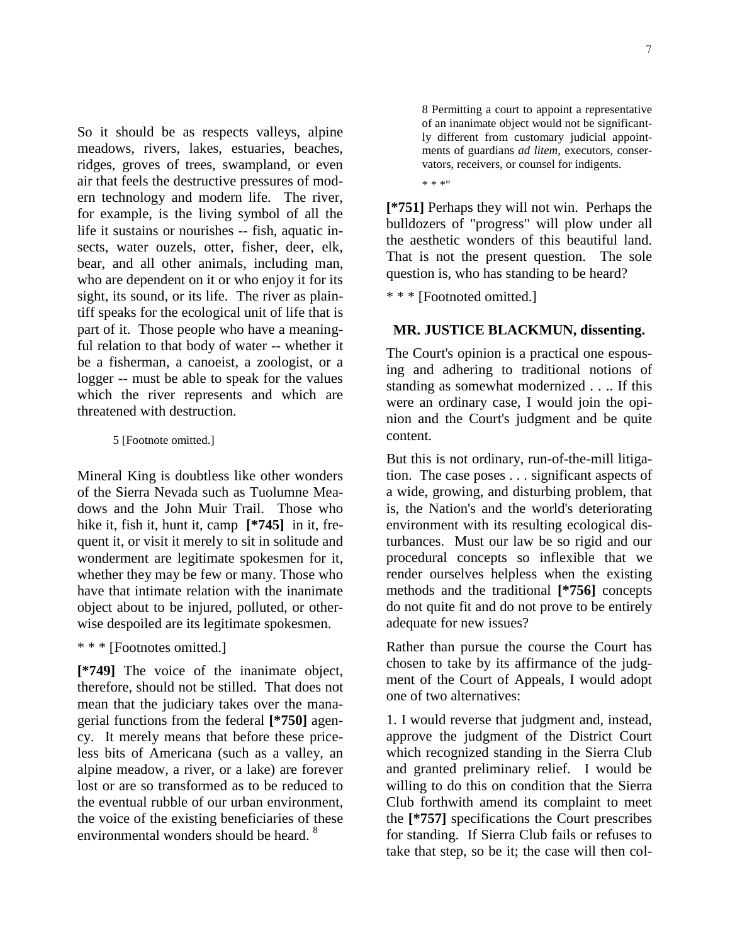So it should be as respects valleys, alpine meadows, rivers, lakes, estuaries, beaches, ridges, groves of trees, swampland, or even air that feels the destructive pressures of modern technology and modern life. The river, for example, is the living symbol of all the life it sustains or nourishes -- fish, aquatic insects, water ouzels, otter, fisher, deer, elk, bear, and all other animals, including man, who are dependent on it or who enjoy it for its sight, its sound, or its life. The river as plaintiff speaks for the ecological unit of life that is part of it. Those people who have a meaningful relation to that body of water -- whether it be a fisherman, a canoeist, a zoologist, or a logger -- must be able to speak for the values which the river represents and which are threatened with destruction.

#### 5 [Footnote omitted.]

Mineral King is doubtless like other wonders of the Sierra Nevada such as Tuolumne Meadows and the John Muir Trail. Those who hike it, fish it, hunt it, camp **[\*745]** in it, frequent it, or visit it merely to sit in solitude and wonderment are legitimate spokesmen for it, whether they may be few or many. Those who have that intimate relation with the inanimate object about to be injured, polluted, or otherwise despoiled are its legitimate spokesmen.

\* \* \* [Footnotes omitted.]

**[\*749]** The voice of the inanimate object, therefore, should not be stilled. That does not mean that the judiciary takes over the managerial functions from the federal **[\*750]** agency. It merely means that before these priceless bits of Americana (such as a valley, an alpine meadow, a river, or a lake) are forever lost or are so transformed as to be reduced to the eventual rubble of our urban environment, the voice of the existing beneficiaries of these environmental wonders should be heard. <sup>8</sup>

8 Permitting a court to appoint a representative of an inanimate object would not be significantly different from customary judicial appointments of guardians *ad litem*, executors, conservators, receivers, or counsel for indigents.

\* \* \*"

**[\*751]** Perhaps they will not win. Perhaps the bulldozers of "progress" will plow under all the aesthetic wonders of this beautiful land. That is not the present question. The sole question is, who has standing to be heard?

\* \* \* [Footnoted omitted.]

# **MR. JUSTICE BLACKMUN, dissenting.**

The Court's opinion is a practical one espousing and adhering to traditional notions of standing as somewhat modernized . . .. If this were an ordinary case, I would join the opinion and the Court's judgment and be quite content.

But this is not ordinary, run-of-the-mill litigation. The case poses . . . significant aspects of a wide, growing, and disturbing problem, that is, the Nation's and the world's deteriorating environment with its resulting ecological disturbances. Must our law be so rigid and our procedural concepts so inflexible that we render ourselves helpless when the existing methods and the traditional **[\*756]** concepts do not quite fit and do not prove to be entirely adequate for new issues?

Rather than pursue the course the Court has chosen to take by its affirmance of the judgment of the Court of Appeals, I would adopt one of two alternatives:

1. I would reverse that judgment and, instead, approve the judgment of the District Court which recognized standing in the Sierra Club and granted preliminary relief. I would be willing to do this on condition that the Sierra Club forthwith amend its complaint to meet the **[\*757]** specifications the Court prescribes for standing. If Sierra Club fails or refuses to take that step, so be it; the case will then col